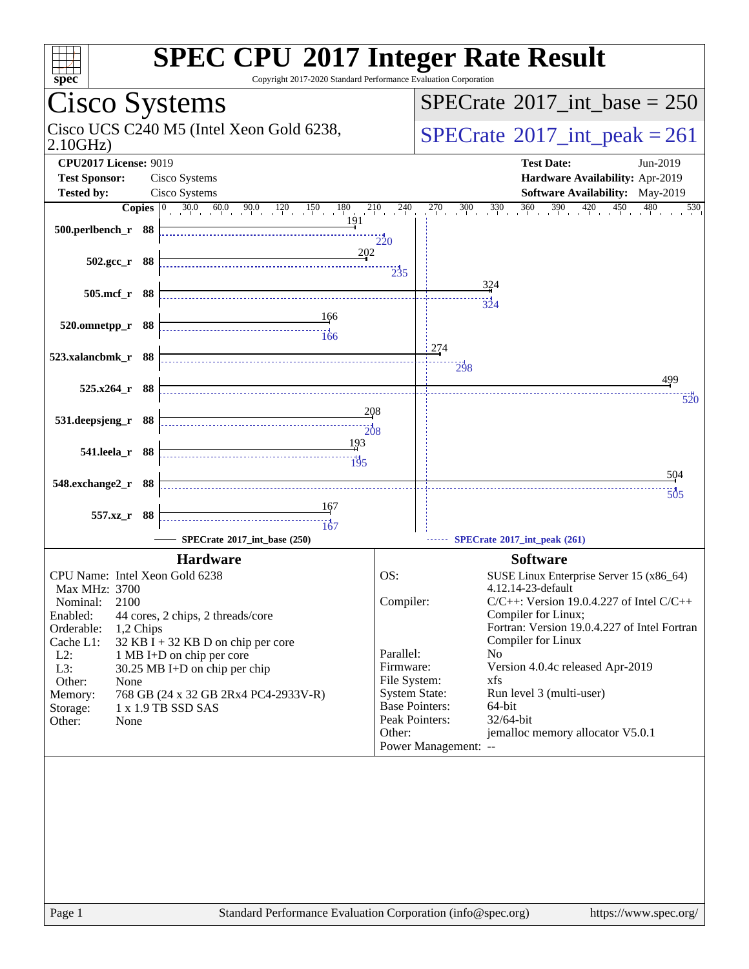| $spec^*$                                                                                                                                                                                            | <b>SPEC CPU®2017 Integer Rate Result</b><br>Copyright 2017-2020 Standard Performance Evaluation Corporation                                                                                                              |                                                                                                                                         |                                                                                                                                                                                                                                                                                                                                                                                                             |  |  |  |  |
|-----------------------------------------------------------------------------------------------------------------------------------------------------------------------------------------------------|--------------------------------------------------------------------------------------------------------------------------------------------------------------------------------------------------------------------------|-----------------------------------------------------------------------------------------------------------------------------------------|-------------------------------------------------------------------------------------------------------------------------------------------------------------------------------------------------------------------------------------------------------------------------------------------------------------------------------------------------------------------------------------------------------------|--|--|--|--|
| Cisco Systems                                                                                                                                                                                       |                                                                                                                                                                                                                          |                                                                                                                                         | $SPECrate^{\circ}2017\_int\_base = 250$                                                                                                                                                                                                                                                                                                                                                                     |  |  |  |  |
| Cisco UCS C240 M5 (Intel Xeon Gold 6238,<br>2.10GHz                                                                                                                                                 |                                                                                                                                                                                                                          |                                                                                                                                         | $SPECTate$ <sup>®</sup> 2017_int_peak = 261                                                                                                                                                                                                                                                                                                                                                                 |  |  |  |  |
| <b>CPU2017 License: 9019</b><br><b>Test Sponsor:</b>                                                                                                                                                | Cisco Systems                                                                                                                                                                                                            |                                                                                                                                         | <b>Test Date:</b><br>Jun-2019<br>Hardware Availability: Apr-2019                                                                                                                                                                                                                                                                                                                                            |  |  |  |  |
| <b>Tested by:</b>                                                                                                                                                                                   | Cisco Systems                                                                                                                                                                                                            |                                                                                                                                         | Software Availability: May-2019                                                                                                                                                                                                                                                                                                                                                                             |  |  |  |  |
|                                                                                                                                                                                                     | <b>Copies</b> $\begin{bmatrix} 0 & 30.0 & 60.0 & 90.0 & 120 & 150 & 180 \end{bmatrix}$                                                                                                                                   | 210<br>$^{1}$ $^{240}$                                                                                                                  | 360<br>450<br>270<br>330<br>390<br>$\frac{420}{1}$<br>480<br>530<br>300                                                                                                                                                                                                                                                                                                                                     |  |  |  |  |
| 500.perlbench_r 88                                                                                                                                                                                  | 191                                                                                                                                                                                                                      | $\frac{1}{220}$                                                                                                                         |                                                                                                                                                                                                                                                                                                                                                                                                             |  |  |  |  |
| $502.\text{gcc r}$ 88                                                                                                                                                                               | 202                                                                                                                                                                                                                      | $\frac{1}{2}35$                                                                                                                         |                                                                                                                                                                                                                                                                                                                                                                                                             |  |  |  |  |
| 505.mcf_r 88                                                                                                                                                                                        |                                                                                                                                                                                                                          |                                                                                                                                         | 324<br>324                                                                                                                                                                                                                                                                                                                                                                                                  |  |  |  |  |
| 520.omnetpp_r 88                                                                                                                                                                                    | 166<br>166                                                                                                                                                                                                               |                                                                                                                                         |                                                                                                                                                                                                                                                                                                                                                                                                             |  |  |  |  |
| 523.xalancbmk_r 88                                                                                                                                                                                  |                                                                                                                                                                                                                          |                                                                                                                                         | 274<br>$\frac{1}{298}$                                                                                                                                                                                                                                                                                                                                                                                      |  |  |  |  |
| 525.x264_r 88                                                                                                                                                                                       |                                                                                                                                                                                                                          |                                                                                                                                         | 499<br>520                                                                                                                                                                                                                                                                                                                                                                                                  |  |  |  |  |
| 531.deepsjeng_r 88                                                                                                                                                                                  | 208<br>$\frac{1}{208}$                                                                                                                                                                                                   |                                                                                                                                         |                                                                                                                                                                                                                                                                                                                                                                                                             |  |  |  |  |
| 541.leela_r 88                                                                                                                                                                                      | 193<br>195                                                                                                                                                                                                               |                                                                                                                                         |                                                                                                                                                                                                                                                                                                                                                                                                             |  |  |  |  |
| 548.exchange2_r 88                                                                                                                                                                                  |                                                                                                                                                                                                                          |                                                                                                                                         | 504<br>$\frac{11}{505}$                                                                                                                                                                                                                                                                                                                                                                                     |  |  |  |  |
| 557.xz_r 88                                                                                                                                                                                         | 167<br>167                                                                                                                                                                                                               |                                                                                                                                         |                                                                                                                                                                                                                                                                                                                                                                                                             |  |  |  |  |
|                                                                                                                                                                                                     | SPECrate®2017_int_base (250)                                                                                                                                                                                             |                                                                                                                                         | SPECrate®2017_int_peak (261)                                                                                                                                                                                                                                                                                                                                                                                |  |  |  |  |
| CPU Name: Intel Xeon Gold 6238<br>Max MHz: 3700<br>Nominal:<br>2100<br>Enabled:<br>Orderable:<br>1,2 Chips<br>Cache L1:<br>$L2$ :<br>L3:<br>Other:<br>None<br>Memory:<br>Storage:<br>Other:<br>None | <b>Hardware</b><br>44 cores, 2 chips, 2 threads/core<br>$32$ KB I + 32 KB D on chip per core<br>1 MB I+D on chip per core<br>30.25 MB I+D on chip per chip<br>768 GB (24 x 32 GB 2Rx4 PC4-2933V-R)<br>1 x 1.9 TB SSD SAS | OS:<br>Compiler:<br>Parallel:<br>Firmware:<br>File System:<br><b>System State:</b><br><b>Base Pointers:</b><br>Peak Pointers:<br>Other: | <b>Software</b><br>SUSE Linux Enterprise Server 15 (x86_64)<br>4.12.14-23-default<br>$C/C++$ : Version 19.0.4.227 of Intel $C/C++$<br>Compiler for Linux;<br>Fortran: Version 19.0.4.227 of Intel Fortran<br>Compiler for Linux<br>N <sub>0</sub><br>Version 4.0.4c released Apr-2019<br>xfs<br>Run level 3 (multi-user)<br>64-bit<br>32/64-bit<br>jemalloc memory allocator V5.0.1<br>Power Management: -- |  |  |  |  |
|                                                                                                                                                                                                     |                                                                                                                                                                                                                          |                                                                                                                                         |                                                                                                                                                                                                                                                                                                                                                                                                             |  |  |  |  |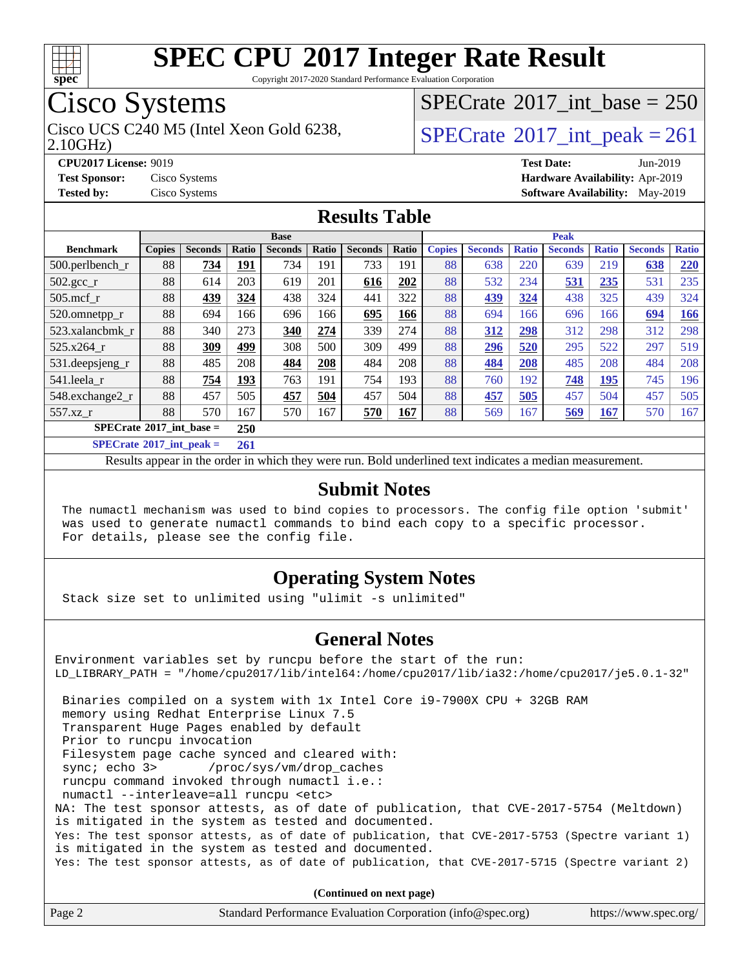

Copyright 2017-2020 Standard Performance Evaluation Corporation

## Cisco Systems

Cisco UCS C240 M5 (Intel Xeon Gold 6238,  $\vert$ [SPECrate](http://www.spec.org/auto/cpu2017/Docs/result-fields.html#SPECrate2017intpeak)®[2017\\_int\\_peak = 2](http://www.spec.org/auto/cpu2017/Docs/result-fields.html#SPECrate2017intpeak)61

 $SPECrate$ <sup>®</sup>[2017\\_int\\_base =](http://www.spec.org/auto/cpu2017/Docs/result-fields.html#SPECrate2017intbase) 250

2.10GHz)

**[CPU2017 License:](http://www.spec.org/auto/cpu2017/Docs/result-fields.html#CPU2017License)** 9019 **[Test Date:](http://www.spec.org/auto/cpu2017/Docs/result-fields.html#TestDate)** Jun-2019 **[Test Sponsor:](http://www.spec.org/auto/cpu2017/Docs/result-fields.html#TestSponsor)** Cisco Systems **[Hardware Availability:](http://www.spec.org/auto/cpu2017/Docs/result-fields.html#HardwareAvailability)** Apr-2019 **[Tested by:](http://www.spec.org/auto/cpu2017/Docs/result-fields.html#Testedby)** Cisco Systems **[Software Availability:](http://www.spec.org/auto/cpu2017/Docs/result-fields.html#SoftwareAvailability)** May-2019

#### **[Results Table](http://www.spec.org/auto/cpu2017/Docs/result-fields.html#ResultsTable)**

| <b>Base</b>                                     |               |                |                      |                |       |                | <b>Peak</b> |               |                |              |                |              |                |              |
|-------------------------------------------------|---------------|----------------|----------------------|----------------|-------|----------------|-------------|---------------|----------------|--------------|----------------|--------------|----------------|--------------|
| <b>Benchmark</b>                                | <b>Copies</b> | <b>Seconds</b> | Ratio                | <b>Seconds</b> | Ratio | <b>Seconds</b> | Ratio       | <b>Copies</b> | <b>Seconds</b> | <b>Ratio</b> | <b>Seconds</b> | <b>Ratio</b> | <b>Seconds</b> | <b>Ratio</b> |
| 500.perlbench_r                                 | 88            | 734            | 191                  | 734            | 191   | 733            | 191         | 88            | 638            | 220          | 639            | 219          | 638            | 220          |
| $502.\text{gcc}$ _r                             | 88            | 614            | 203                  | 619            | 201   | 616            | 202         | 88            | 532            | 234          | 531            | 235          | 531            | 235          |
| $505$ .mcf r                                    | 88            | 439            | 324                  | 438            | 324   | 441            | 322         | 88            | 439            | 324          | 438            | 325          | 439            | 324          |
| 520.omnetpp_r                                   | 88            | 694            | 166                  | 696            | 166   | 695            | 166         | 88            | 694            | 166          | 696            | 166          | 694            | 166          |
| 523.xalancbmk r                                 | 88            | 340            | 273                  | 340            | 274   | 339            | 274         | 88            | 312            | 298          | 312            | 298          | 312            | 298          |
| 525.x264 r                                      | 88            | 309            | 499                  | 308            | 500   | 309            | 499         | 88            | 296            | 520          | 295            | 522          | 297            | 519          |
| 531.deepsjeng_r                                 | 88            | 485            | 208                  | 484            | 208   | 484            | 208         | 88            | 484            | 208          | 485            | 208          | 484            | 208          |
| 541.leela r                                     | 88            | 754            | 193                  | 763            | 191   | 754            | 193         | 88            | 760            | 192          | 748            | 195          | 745            | 196          |
| 548.exchange2_r                                 | 88            | 457            | 505                  | 457            | 504   | 457            | 504         | 88            | 457            | 505          | 457            | 504          | 457            | 505          |
| 557.xz r                                        | 88            | 570            | 167                  | 570            | 167   | 570            | 167         | 88            | 569            | 167          | 569            | <u>167</u>   | 570            | 167          |
| $SPECrate^{\circ}2017$ int base =<br><b>250</b> |               |                |                      |                |       |                |             |               |                |              |                |              |                |              |
| $CDFC_{\text{mod}}$ $60017$ intervals $=$       |               |                | $\sim$ $\sim$ $\sim$ |                |       |                |             |               |                |              |                |              |                |              |

**[SPECrate](http://www.spec.org/auto/cpu2017/Docs/result-fields.html#SPECrate2017intpeak)[2017\\_int\\_peak =](http://www.spec.org/auto/cpu2017/Docs/result-fields.html#SPECrate2017intpeak) 261**

Results appear in the [order in which they were run](http://www.spec.org/auto/cpu2017/Docs/result-fields.html#RunOrder). Bold underlined text [indicates a median measurement](http://www.spec.org/auto/cpu2017/Docs/result-fields.html#Median).

#### **[Submit Notes](http://www.spec.org/auto/cpu2017/Docs/result-fields.html#SubmitNotes)**

 The numactl mechanism was used to bind copies to processors. The config file option 'submit' was used to generate numactl commands to bind each copy to a specific processor. For details, please see the config file.

#### **[Operating System Notes](http://www.spec.org/auto/cpu2017/Docs/result-fields.html#OperatingSystemNotes)**

Stack size set to unlimited using "ulimit -s unlimited"

#### **[General Notes](http://www.spec.org/auto/cpu2017/Docs/result-fields.html#GeneralNotes)**

Environment variables set by runcpu before the start of the run: LD\_LIBRARY\_PATH = "/home/cpu2017/lib/intel64:/home/cpu2017/lib/ia32:/home/cpu2017/je5.0.1-32" Binaries compiled on a system with 1x Intel Core i9-7900X CPU + 32GB RAM memory using Redhat Enterprise Linux 7.5 Transparent Huge Pages enabled by default Prior to runcpu invocation Filesystem page cache synced and cleared with: sync; echo 3> /proc/sys/vm/drop\_caches runcpu command invoked through numactl i.e.: numactl --interleave=all runcpu <etc> NA: The test sponsor attests, as of date of publication, that CVE-2017-5754 (Meltdown) is mitigated in the system as tested and documented. Yes: The test sponsor attests, as of date of publication, that CVE-2017-5753 (Spectre variant 1) is mitigated in the system as tested and documented. Yes: The test sponsor attests, as of date of publication, that CVE-2017-5715 (Spectre variant 2)

**(Continued on next page)**

| Page 2<br>Standard Performance Evaluation Corporation (info@spec.org)<br>https://www.spec.org/ |
|------------------------------------------------------------------------------------------------|
|------------------------------------------------------------------------------------------------|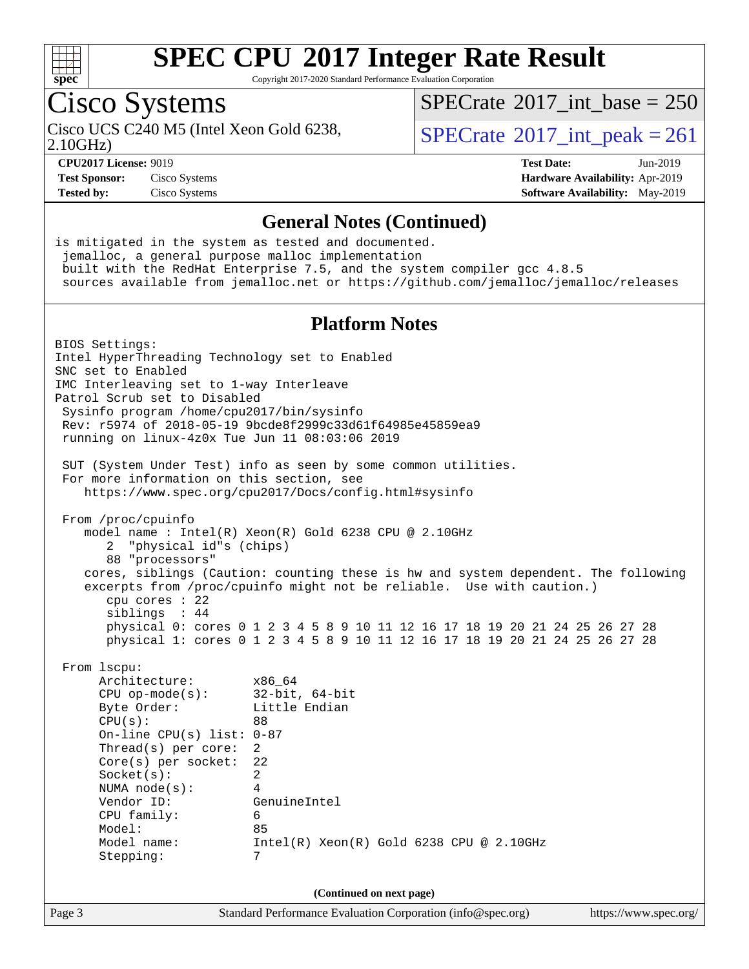

Copyright 2017-2020 Standard Performance Evaluation Corporation

## Cisco Systems

2.10GHz)

 $SPECTate$ <sup>®</sup>[2017\\_int\\_base =](http://www.spec.org/auto/cpu2017/Docs/result-fields.html#SPECrate2017intbase) 250

Cisco UCS C240 M5 (Intel Xeon Gold 6238,  $\text{SPECrate} \textcircled{2017\_int\_peak} = 261$  $\text{SPECrate} \textcircled{2017\_int\_peak} = 261$  $\text{SPECrate} \textcircled{2017\_int\_peak} = 261$ 

**[Test Sponsor:](http://www.spec.org/auto/cpu2017/Docs/result-fields.html#TestSponsor)** Cisco Systems **[Hardware Availability:](http://www.spec.org/auto/cpu2017/Docs/result-fields.html#HardwareAvailability)** Apr-2019

**[CPU2017 License:](http://www.spec.org/auto/cpu2017/Docs/result-fields.html#CPU2017License)** 9019 **[Test Date:](http://www.spec.org/auto/cpu2017/Docs/result-fields.html#TestDate)** Jun-2019 **[Tested by:](http://www.spec.org/auto/cpu2017/Docs/result-fields.html#Testedby)** Cisco Systems **[Software Availability:](http://www.spec.org/auto/cpu2017/Docs/result-fields.html#SoftwareAvailability)** May-2019

#### **[General Notes \(Continued\)](http://www.spec.org/auto/cpu2017/Docs/result-fields.html#GeneralNotes)**

is mitigated in the system as tested and documented. jemalloc, a general purpose malloc implementation built with the RedHat Enterprise 7.5, and the system compiler gcc 4.8.5 sources available from jemalloc.net or <https://github.com/jemalloc/jemalloc/releases> **[Platform Notes](http://www.spec.org/auto/cpu2017/Docs/result-fields.html#PlatformNotes)** BIOS Settings: Intel HyperThreading Technology set to Enabled SNC set to Enabled IMC Interleaving set to 1-way Interleave Patrol Scrub set to Disabled Sysinfo program /home/cpu2017/bin/sysinfo Rev: r5974 of 2018-05-19 9bcde8f2999c33d61f64985e45859ea9 running on linux-4z0x Tue Jun 11 08:03:06 2019 SUT (System Under Test) info as seen by some common utilities. For more information on this section, see <https://www.spec.org/cpu2017/Docs/config.html#sysinfo> From /proc/cpuinfo model name : Intel(R) Xeon(R) Gold 6238 CPU @ 2.10GHz 2 "physical id"s (chips) 88 "processors" cores, siblings (Caution: counting these is hw and system dependent. The following excerpts from /proc/cpuinfo might not be reliable. Use with caution.) cpu cores : 22 siblings : 44 physical 0: cores 0 1 2 3 4 5 8 9 10 11 12 16 17 18 19 20 21 24 25 26 27 28 physical 1: cores 0 1 2 3 4 5 8 9 10 11 12 16 17 18 19 20 21 24 25 26 27 28 From lscpu: Architecture: x86\_64 CPU op-mode(s): 32-bit, 64-bit Byte Order: Little Endian  $CPU(s):$  88 On-line CPU(s) list: 0-87 Thread(s) per core: 2 Core(s) per socket: 22 Socket(s): 2 NUMA node(s): 4 Vendor ID: GenuineIntel CPU family: 6 Model: 85 Model name: Intel(R) Xeon(R) Gold 6238 CPU @ 2.10GHz Stepping: 7 **(Continued on next page)**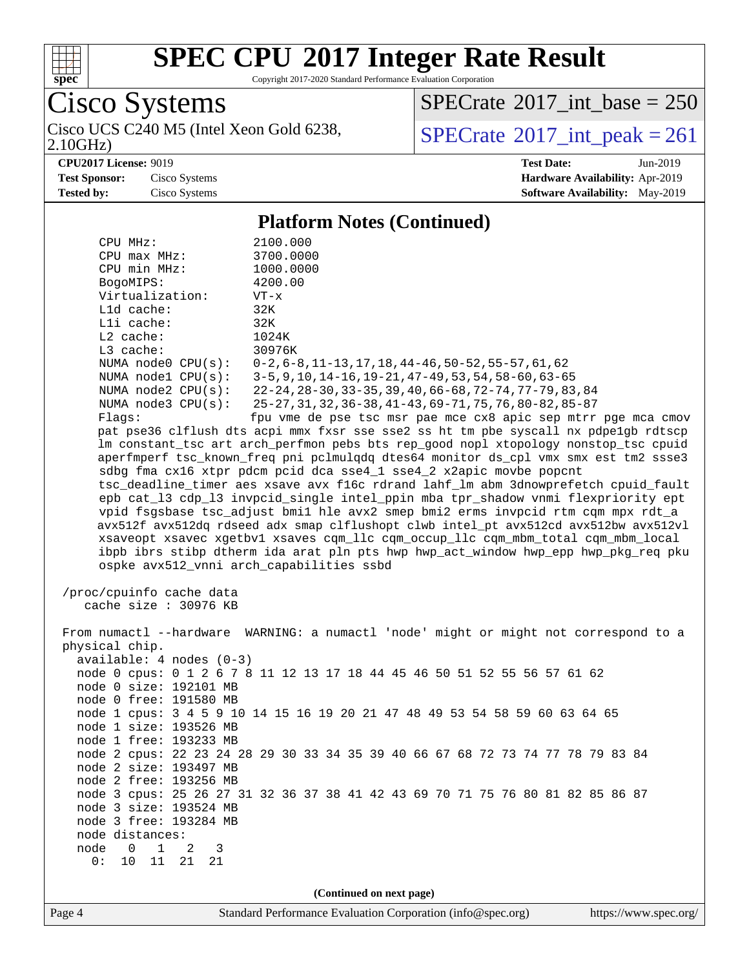

Copyright 2017-2020 Standard Performance Evaluation Corporation

Cisco Systems 2.10GHz)

 $SPECrate$ <sup>®</sup>[2017\\_int\\_base =](http://www.spec.org/auto/cpu2017/Docs/result-fields.html#SPECrate2017intbase) 250

Cisco UCS C240 M5 (Intel Xeon Gold 6238,  $\sum_{10 \text{GHz}} 10 \text{GHz}$ )

**[CPU2017 License:](http://www.spec.org/auto/cpu2017/Docs/result-fields.html#CPU2017License)** 9019 **[Test Date:](http://www.spec.org/auto/cpu2017/Docs/result-fields.html#TestDate)** Jun-2019 **[Test Sponsor:](http://www.spec.org/auto/cpu2017/Docs/result-fields.html#TestSponsor)** Cisco Systems **[Hardware Availability:](http://www.spec.org/auto/cpu2017/Docs/result-fields.html#HardwareAvailability)** Apr-2019 **[Tested by:](http://www.spec.org/auto/cpu2017/Docs/result-fields.html#Testedby)** Cisco Systems **[Software Availability:](http://www.spec.org/auto/cpu2017/Docs/result-fields.html#SoftwareAvailability)** May-2019

#### **[Platform Notes \(Continued\)](http://www.spec.org/auto/cpu2017/Docs/result-fields.html#PlatformNotes)**

| CPU MHz:                                                                             | 2100.000                                                                                                                                                  |  |  |  |  |  |
|--------------------------------------------------------------------------------------|-----------------------------------------------------------------------------------------------------------------------------------------------------------|--|--|--|--|--|
| $CPU$ $max$ $MHz$ :<br>CPU min MHz:                                                  | 3700.0000<br>1000.0000                                                                                                                                    |  |  |  |  |  |
| BogoMIPS:                                                                            | 4200.00                                                                                                                                                   |  |  |  |  |  |
| Virtualization:                                                                      | $VT - x$                                                                                                                                                  |  |  |  |  |  |
| $L1d$ cache:                                                                         | 32K                                                                                                                                                       |  |  |  |  |  |
| Lli cache:                                                                           | 32K                                                                                                                                                       |  |  |  |  |  |
| L2 cache:                                                                            | 1024K                                                                                                                                                     |  |  |  |  |  |
| L3 cache:                                                                            | 30976K                                                                                                                                                    |  |  |  |  |  |
| NUMA node0 CPU(s):                                                                   | $0-2, 6-8, 11-13, 17, 18, 44-46, 50-52, 55-57, 61, 62$                                                                                                    |  |  |  |  |  |
| NUMA $node1$ $CPU(s):$                                                               | 3-5, 9, 10, 14-16, 19-21, 47-49, 53, 54, 58-60, 63-65                                                                                                     |  |  |  |  |  |
| NUMA $node2$ $CPU(s)$ :                                                              | 22-24, 28-30, 33-35, 39, 40, 66-68, 72-74, 77-79, 83, 84                                                                                                  |  |  |  |  |  |
| NUMA $node3$ $CPU(s):$                                                               | 25-27, 31, 32, 36-38, 41-43, 69-71, 75, 76, 80-82, 85-87                                                                                                  |  |  |  |  |  |
| Flaqs:                                                                               | fpu vme de pse tsc msr pae mce cx8 apic sep mtrr pge mca cmov                                                                                             |  |  |  |  |  |
|                                                                                      | pat pse36 clflush dts acpi mmx fxsr sse sse2 ss ht tm pbe syscall nx pdpe1gb rdtscp                                                                       |  |  |  |  |  |
|                                                                                      | lm constant_tsc art arch_perfmon pebs bts rep_good nopl xtopology nonstop_tsc cpuid                                                                       |  |  |  |  |  |
|                                                                                      | aperfmperf tsc_known_freq pni pclmulqdq dtes64 monitor ds_cpl vmx smx est tm2 ssse3<br>sdbg fma cx16 xtpr pdcm pcid dca sse4_1 sse4_2 x2apic movbe popcnt |  |  |  |  |  |
|                                                                                      | tsc_deadline_timer aes xsave avx f16c rdrand lahf_lm abm 3dnowprefetch cpuid_fault                                                                        |  |  |  |  |  |
|                                                                                      | epb cat_13 cdp_13 invpcid_single intel_ppin mba tpr_shadow vnmi flexpriority ept                                                                          |  |  |  |  |  |
|                                                                                      | vpid fsgsbase tsc_adjust bmil hle avx2 smep bmi2 erms invpcid rtm cqm mpx rdt_a                                                                           |  |  |  |  |  |
|                                                                                      | avx512f avx512dq rdseed adx smap clflushopt clwb intel_pt avx512cd avx512bw avx512vl                                                                      |  |  |  |  |  |
|                                                                                      | xsaveopt xsavec xgetbvl xsaves cqm_llc cqm_occup_llc cqm_mbm_total cqm_mbm_local                                                                          |  |  |  |  |  |
|                                                                                      | ibpb ibrs stibp dtherm ida arat pln pts hwp hwp_act_window hwp_epp hwp_pkg_req pku                                                                        |  |  |  |  |  |
|                                                                                      | ospke avx512_vnni arch_capabilities ssbd                                                                                                                  |  |  |  |  |  |
|                                                                                      |                                                                                                                                                           |  |  |  |  |  |
| /proc/cpuinfo cache data                                                             |                                                                                                                                                           |  |  |  |  |  |
| cache size : 30976 KB                                                                |                                                                                                                                                           |  |  |  |  |  |
| From numactl --hardware WARNING: a numactl 'node' might or might not correspond to a |                                                                                                                                                           |  |  |  |  |  |
| physical chip.                                                                       |                                                                                                                                                           |  |  |  |  |  |
| $available: 4 nodes (0-3)$                                                           |                                                                                                                                                           |  |  |  |  |  |
|                                                                                      | node 0 cpus: 0 1 2 6 7 8 11 12 13 17 18 44 45 46 50 51 52 55 56 57 61 62                                                                                  |  |  |  |  |  |
| node 0 size: 192101 MB                                                               |                                                                                                                                                           |  |  |  |  |  |
| node 0 free: 191580 MB                                                               |                                                                                                                                                           |  |  |  |  |  |
| node 1 cpus: 3 4 5 9 10 14 15 16 19 20 21 47 48 49 53 54 58 59 60 63 64 65           |                                                                                                                                                           |  |  |  |  |  |
| node 1 size: 193526 MB                                                               |                                                                                                                                                           |  |  |  |  |  |
| node 1 free: 193233 MB                                                               |                                                                                                                                                           |  |  |  |  |  |
|                                                                                      | node 2 cpus: 22 23 24 28 29 30 33 34 35 39 40 66 67 68 72 73 74 77 78 79 83 84                                                                            |  |  |  |  |  |
| node 2 size: 193497 MB                                                               |                                                                                                                                                           |  |  |  |  |  |
| node 2 free: 193256 MB                                                               |                                                                                                                                                           |  |  |  |  |  |
| node 3 size: 193524 MB                                                               | node 3 cpus: 25 26 27 31 32 36 37 38 41 42 43 69 70 71 75 76 80 81 82 85 86 87                                                                            |  |  |  |  |  |
| node 3 free: 193284 MB                                                               |                                                                                                                                                           |  |  |  |  |  |
| node distances:                                                                      |                                                                                                                                                           |  |  |  |  |  |
| node<br>$\mathbf 1$<br>0<br>2<br>3                                                   |                                                                                                                                                           |  |  |  |  |  |
| 0:<br>10<br>11<br>21<br>21                                                           |                                                                                                                                                           |  |  |  |  |  |
|                                                                                      |                                                                                                                                                           |  |  |  |  |  |
| (Continued on next page)                                                             |                                                                                                                                                           |  |  |  |  |  |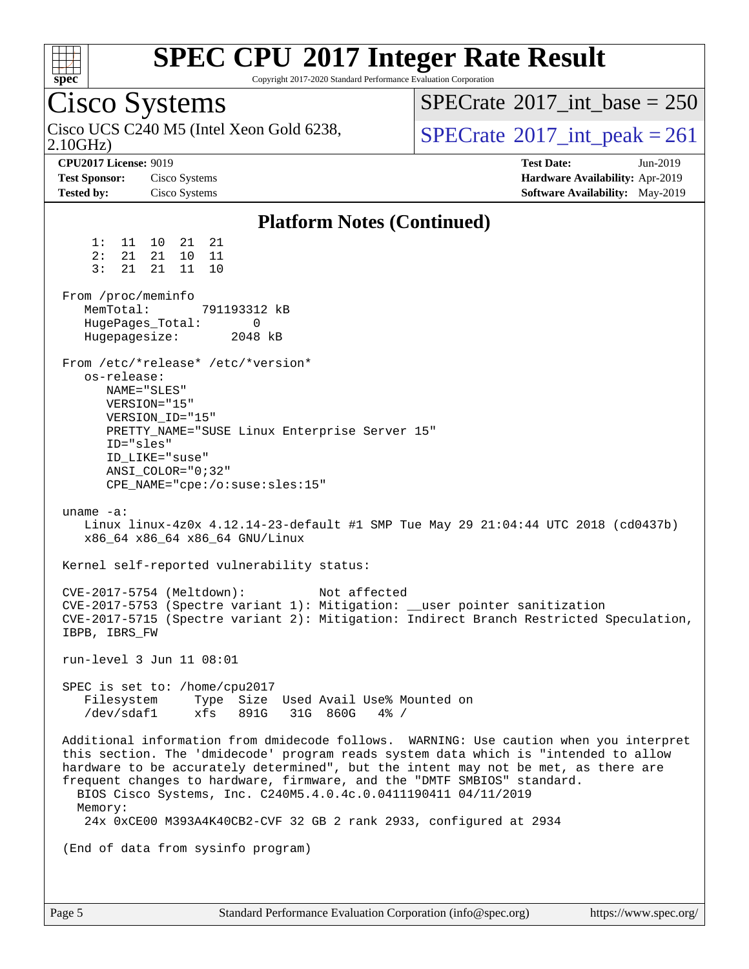

Copyright 2017-2020 Standard Performance Evaluation Corporation

Cisco Systems 2.10GHz) Cisco UCS C240 M5 (Intel Xeon Gold 6238,  $\text{SPECrate} \textcircled{2017\_int\_peak} = 261$  $\text{SPECrate} \textcircled{2017\_int\_peak} = 261$  $\text{SPECrate} \textcircled{2017\_int\_peak} = 261$  $SPECTate$ <sup>®</sup>[2017\\_int\\_base =](http://www.spec.org/auto/cpu2017/Docs/result-fields.html#SPECrate2017intbase) 250 **[CPU2017 License:](http://www.spec.org/auto/cpu2017/Docs/result-fields.html#CPU2017License)** 9019 **[Test Date:](http://www.spec.org/auto/cpu2017/Docs/result-fields.html#TestDate)** Jun-2019 **[Test Sponsor:](http://www.spec.org/auto/cpu2017/Docs/result-fields.html#TestSponsor)** Cisco Systems **[Hardware Availability:](http://www.spec.org/auto/cpu2017/Docs/result-fields.html#HardwareAvailability)** Apr-2019 **[Tested by:](http://www.spec.org/auto/cpu2017/Docs/result-fields.html#Testedby)** Cisco Systems **[Software Availability:](http://www.spec.org/auto/cpu2017/Docs/result-fields.html#SoftwareAvailability)** May-2019 **[Platform Notes \(Continued\)](http://www.spec.org/auto/cpu2017/Docs/result-fields.html#PlatformNotes)** 1: 11 10 21 21 2: 21 21 10 11 3: 21 21 11 10 From /proc/meminfo MemTotal: 791193312 kB HugePages\_Total: 0<br>Hugepagesize: 2048 kB Hugepagesize: From /etc/\*release\* /etc/\*version\* os-release: NAME="SLES" VERSION="15" VERSION\_ID="15" PRETTY\_NAME="SUSE Linux Enterprise Server 15" ID="sles" ID\_LIKE="suse" ANSI\_COLOR="0;32" CPE\_NAME="cpe:/o:suse:sles:15" uname -a: Linux linux-4z0x 4.12.14-23-default #1 SMP Tue May 29 21:04:44 UTC 2018 (cd0437b) x86\_64 x86\_64 x86\_64 GNU/Linux Kernel self-reported vulnerability status: CVE-2017-5754 (Meltdown): Not affected CVE-2017-5753 (Spectre variant 1): Mitigation: \_\_user pointer sanitization CVE-2017-5715 (Spectre variant 2): Mitigation: Indirect Branch Restricted Speculation, IBPB, IBRS\_FW run-level 3 Jun 11 08:01 SPEC is set to: /home/cpu2017 Filesystem Type Size Used Avail Use% Mounted on /dev/sdaf1 xfs 891G 31G 860G 4% / Additional information from dmidecode follows. WARNING: Use caution when you interpret this section. The 'dmidecode' program reads system data which is "intended to allow hardware to be accurately determined", but the intent may not be met, as there are frequent changes to hardware, firmware, and the "DMTF SMBIOS" standard. BIOS Cisco Systems, Inc. C240M5.4.0.4c.0.0411190411 04/11/2019 Memory: 24x 0xCE00 M393A4K40CB2-CVF 32 GB 2 rank 2933, configured at 2934 (End of data from sysinfo program)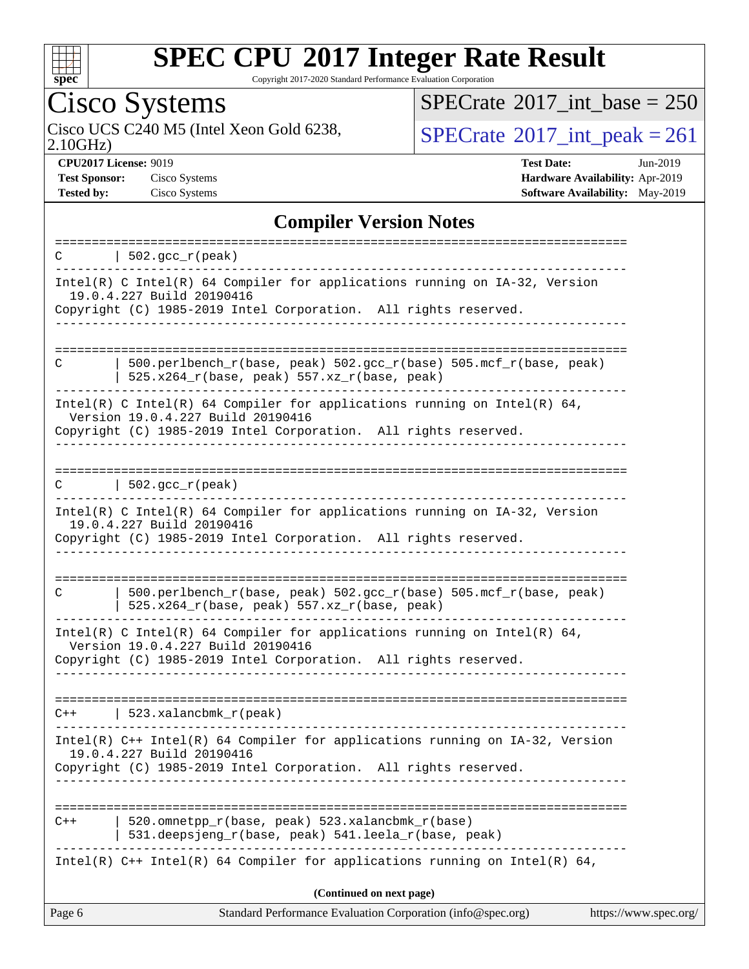

Copyright 2017-2020 Standard Performance Evaluation Corporation

## Cisco Systems

2.10GHz)

 $SPECrate$ <sup>®</sup>[2017\\_int\\_base =](http://www.spec.org/auto/cpu2017/Docs/result-fields.html#SPECrate2017intbase) 250

Cisco UCS C240 M5 (Intel Xeon Gold 6238,  $\text{SPECrate} \textcircled{\,} 2017\_int\_peak = 261$  $\text{SPECrate} \textcircled{\,} 2017\_int\_peak = 261$  $\text{SPECrate} \textcircled{\,} 2017\_int\_peak = 261$ 

**[CPU2017 License:](http://www.spec.org/auto/cpu2017/Docs/result-fields.html#CPU2017License)** 9019 **[Test Date:](http://www.spec.org/auto/cpu2017/Docs/result-fields.html#TestDate)** Jun-2019 **[Test Sponsor:](http://www.spec.org/auto/cpu2017/Docs/result-fields.html#TestSponsor)** Cisco Systems **[Hardware Availability:](http://www.spec.org/auto/cpu2017/Docs/result-fields.html#HardwareAvailability)** Apr-2019 **[Tested by:](http://www.spec.org/auto/cpu2017/Docs/result-fields.html#Testedby)** Cisco Systems **[Software Availability:](http://www.spec.org/auto/cpu2017/Docs/result-fields.html#SoftwareAvailability)** May-2019

### **[Compiler Version Notes](http://www.spec.org/auto/cpu2017/Docs/result-fields.html#CompilerVersionNotes)**

| $\vert$ 502.gcc_r(peak)<br>C                                                                                                                                                           |                       |
|----------------------------------------------------------------------------------------------------------------------------------------------------------------------------------------|-----------------------|
| Intel(R) C Intel(R) 64 Compiler for applications running on IA-32, Version<br>19.0.4.227 Build 20190416<br>Copyright (C) 1985-2019 Intel Corporation. All rights reserved.             |                       |
| $500. perlbench_r(base, peak) 502. gcc_r(base) 505. mcf_r(base, peak)$<br>C<br>$525.x264_r(base, peak) 557.xz_r(base, peak)$                                                           |                       |
| Intel(R) C Intel(R) 64 Compiler for applications running on Intel(R) 64,<br>Version 19.0.4.227 Build 20190416<br>Copyright (C) 1985-2019 Intel Corporation. All rights reserved.       |                       |
| $\vert$ 502.gcc_r(peak)<br>C                                                                                                                                                           |                       |
| Intel(R) C Intel(R) 64 Compiler for applications running on IA-32, Version<br>19.0.4.227 Build 20190416<br>Copyright (C) 1985-2019 Intel Corporation. All rights reserved.<br><u>.</u> |                       |
| 500.perlbench_r(base, peak) 502.gcc_r(base) 505.mcf_r(base, peak)<br>C<br>525.x264_r(base, peak) 557.xz_r(base, peak)                                                                  |                       |
| Intel(R) C Intel(R) 64 Compiler for applications running on Intel(R) 64,<br>Version 19.0.4.227 Build 20190416<br>Copyright (C) 1985-2019 Intel Corporation. All rights reserved.       |                       |
| $C++$   523.xalancbmk_r(peak)                                                                                                                                                          |                       |
| Intel(R) C++ Intel(R) 64 Compiler for applications running on IA-32, Version<br>19.0.4.227 Build 20190416<br>Copyright (C) 1985-2019 Intel Corporation. All rights reserved.           |                       |
| 520.omnetpp_r(base, peak) 523.xalancbmk_r(base)<br>$C++$<br>531.deepsjeng_r(base, peak) 541.leela_r(base, peak)                                                                        |                       |
| Intel(R) $C++$ Intel(R) 64 Compiler for applications running on Intel(R) 64,                                                                                                           |                       |
| (Continued on next page)<br>Page 6<br>Standard Performance Evaluation Corporation (info@spec.org)                                                                                      | https://www.spec.org/ |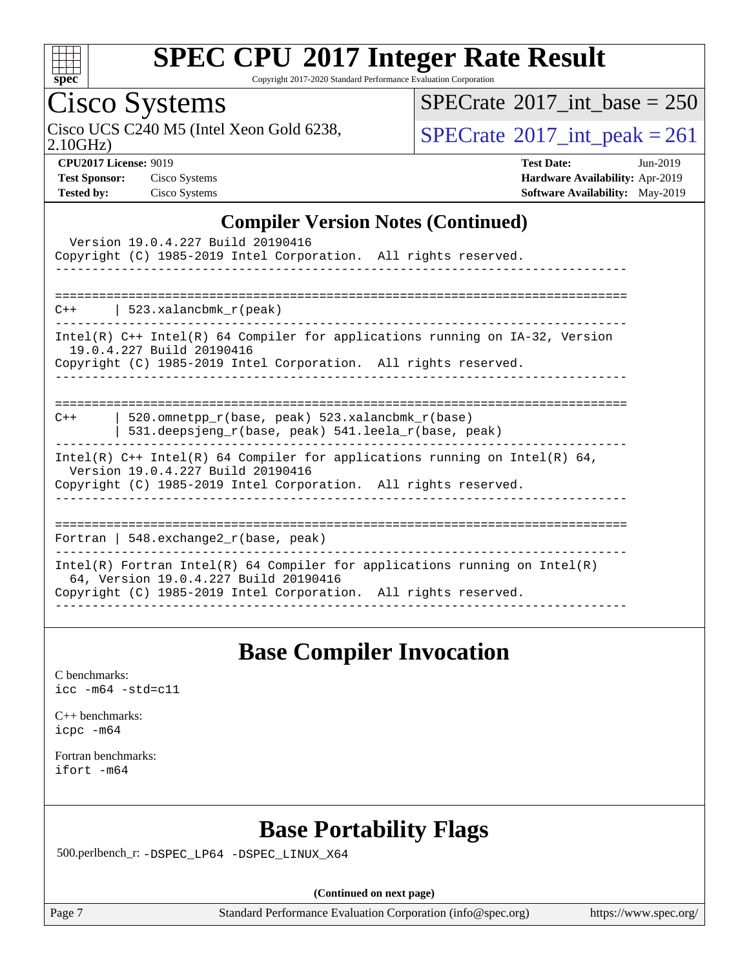

Copyright 2017-2020 Standard Performance Evaluation Corporation

## Cisco Systems

 $SPECrate$ <sup>®</sup>[2017\\_int\\_base =](http://www.spec.org/auto/cpu2017/Docs/result-fields.html#SPECrate2017intbase) 250

Cisco UCS C240 M5 (Intel Xeon Gold 6238,  $\sum_{10 \text{GHz}} 10 \text{GHz}$ )

2.10GHz)

**[CPU2017 License:](http://www.spec.org/auto/cpu2017/Docs/result-fields.html#CPU2017License)** 9019 **[Test Date:](http://www.spec.org/auto/cpu2017/Docs/result-fields.html#TestDate)** Jun-2019 **[Test Sponsor:](http://www.spec.org/auto/cpu2017/Docs/result-fields.html#TestSponsor)** Cisco Systems **[Hardware Availability:](http://www.spec.org/auto/cpu2017/Docs/result-fields.html#HardwareAvailability)** Apr-2019 **[Tested by:](http://www.spec.org/auto/cpu2017/Docs/result-fields.html#Testedby)** Cisco Systems **[Software Availability:](http://www.spec.org/auto/cpu2017/Docs/result-fields.html#SoftwareAvailability)** May-2019

#### **[Compiler Version Notes \(Continued\)](http://www.spec.org/auto/cpu2017/Docs/result-fields.html#CompilerVersionNotes)**

| Version 19.0.4.227 Build 20190416<br>Copyright (C) 1985-2019 Intel Corporation. All rights reserved.                                                                                   |
|----------------------------------------------------------------------------------------------------------------------------------------------------------------------------------------|
| $C++$   523.xalancbmk $r(\text{peak})$                                                                                                                                                 |
| Intel(R) $C++$ Intel(R) 64 Compiler for applications running on $IA-32$ , Version<br>19.0.4.227 Build 20190416<br>Copyright (C) 1985-2019 Intel Corporation. All rights reserved.      |
| 520.omnetpp $r(base, peak)$ 523.xalancbmk $r(base)$<br>$C++$<br>531.deepsjeng_r(base, peak) 541.leela_r(base, peak)                                                                    |
| Intel(R) $C++$ Intel(R) 64 Compiler for applications running on Intel(R) 64,<br>Version 19.0.4.227 Build 20190416<br>Copyright (C) 1985-2019 Intel Corporation. All rights reserved.   |
| Fortran   548.exchange2 $r(base, peak)$                                                                                                                                                |
| Intel(R) Fortran Intel(R) 64 Compiler for applications running on Intel(R)<br>64, Version 19.0.4.227 Build 20190416<br>Copyright (C) 1985-2019 Intel Corporation. All rights reserved. |

### **[Base Compiler Invocation](http://www.spec.org/auto/cpu2017/Docs/result-fields.html#BaseCompilerInvocation)**

[C benchmarks](http://www.spec.org/auto/cpu2017/Docs/result-fields.html#Cbenchmarks): [icc -m64 -std=c11](http://www.spec.org/cpu2017/results/res2019q3/cpu2017-20190625-15896.flags.html#user_CCbase_intel_icc_64bit_c11_33ee0cdaae7deeeab2a9725423ba97205ce30f63b9926c2519791662299b76a0318f32ddfffdc46587804de3178b4f9328c46fa7c2b0cd779d7a61945c91cd35)

[C++ benchmarks:](http://www.spec.org/auto/cpu2017/Docs/result-fields.html#CXXbenchmarks) [icpc -m64](http://www.spec.org/cpu2017/results/res2019q3/cpu2017-20190625-15896.flags.html#user_CXXbase_intel_icpc_64bit_4ecb2543ae3f1412ef961e0650ca070fec7b7afdcd6ed48761b84423119d1bf6bdf5cad15b44d48e7256388bc77273b966e5eb805aefd121eb22e9299b2ec9d9)

[Fortran benchmarks](http://www.spec.org/auto/cpu2017/Docs/result-fields.html#Fortranbenchmarks): [ifort -m64](http://www.spec.org/cpu2017/results/res2019q3/cpu2017-20190625-15896.flags.html#user_FCbase_intel_ifort_64bit_24f2bb282fbaeffd6157abe4f878425411749daecae9a33200eee2bee2fe76f3b89351d69a8130dd5949958ce389cf37ff59a95e7a40d588e8d3a57e0c3fd751)

## **[Base Portability Flags](http://www.spec.org/auto/cpu2017/Docs/result-fields.html#BasePortabilityFlags)**

500.perlbench\_r: [-DSPEC\\_LP64](http://www.spec.org/cpu2017/results/res2019q3/cpu2017-20190625-15896.flags.html#b500.perlbench_r_basePORTABILITY_DSPEC_LP64) [-DSPEC\\_LINUX\\_X64](http://www.spec.org/cpu2017/results/res2019q3/cpu2017-20190625-15896.flags.html#b500.perlbench_r_baseCPORTABILITY_DSPEC_LINUX_X64)

**(Continued on next page)**

Page 7 Standard Performance Evaluation Corporation [\(info@spec.org\)](mailto:info@spec.org) <https://www.spec.org/>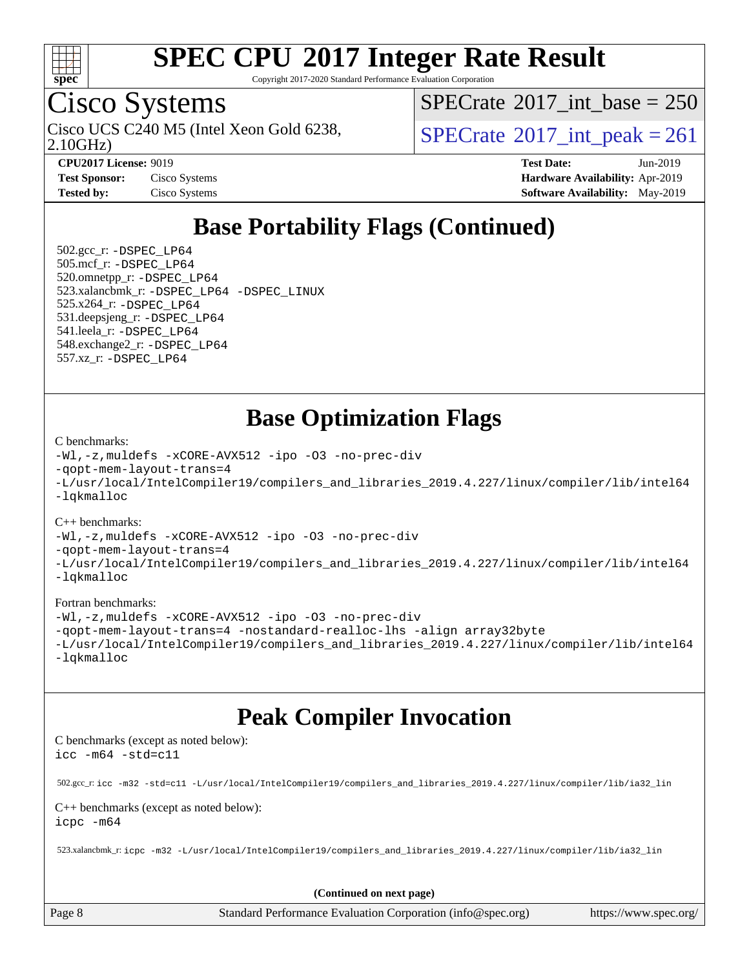

Copyright 2017-2020 Standard Performance Evaluation Corporation

## Cisco Systems

2.10GHz)

 $SPECTate@2017_int\_base = 250$ 

Cisco UCS C240 M5 (Intel Xeon Gold 6238,  $\vert$ [SPECrate](http://www.spec.org/auto/cpu2017/Docs/result-fields.html#SPECrate2017intpeak)®[2017\\_int\\_peak = 2](http://www.spec.org/auto/cpu2017/Docs/result-fields.html#SPECrate2017intpeak)61

**[CPU2017 License:](http://www.spec.org/auto/cpu2017/Docs/result-fields.html#CPU2017License)** 9019 **[Test Date:](http://www.spec.org/auto/cpu2017/Docs/result-fields.html#TestDate)** Jun-2019 **[Test Sponsor:](http://www.spec.org/auto/cpu2017/Docs/result-fields.html#TestSponsor)** Cisco Systems **[Hardware Availability:](http://www.spec.org/auto/cpu2017/Docs/result-fields.html#HardwareAvailability)** Apr-2019 **[Tested by:](http://www.spec.org/auto/cpu2017/Docs/result-fields.html#Testedby)** Cisco Systems **[Software Availability:](http://www.spec.org/auto/cpu2017/Docs/result-fields.html#SoftwareAvailability)** May-2019

## **[Base Portability Flags \(Continued\)](http://www.spec.org/auto/cpu2017/Docs/result-fields.html#BasePortabilityFlags)**

 502.gcc\_r: [-DSPEC\\_LP64](http://www.spec.org/cpu2017/results/res2019q3/cpu2017-20190625-15896.flags.html#suite_basePORTABILITY502_gcc_r_DSPEC_LP64) 505.mcf\_r: [-DSPEC\\_LP64](http://www.spec.org/cpu2017/results/res2019q3/cpu2017-20190625-15896.flags.html#suite_basePORTABILITY505_mcf_r_DSPEC_LP64) 520.omnetpp\_r: [-DSPEC\\_LP64](http://www.spec.org/cpu2017/results/res2019q3/cpu2017-20190625-15896.flags.html#suite_basePORTABILITY520_omnetpp_r_DSPEC_LP64) 523.xalancbmk\_r: [-DSPEC\\_LP64](http://www.spec.org/cpu2017/results/res2019q3/cpu2017-20190625-15896.flags.html#suite_basePORTABILITY523_xalancbmk_r_DSPEC_LP64) [-DSPEC\\_LINUX](http://www.spec.org/cpu2017/results/res2019q3/cpu2017-20190625-15896.flags.html#b523.xalancbmk_r_baseCXXPORTABILITY_DSPEC_LINUX) 525.x264\_r: [-DSPEC\\_LP64](http://www.spec.org/cpu2017/results/res2019q3/cpu2017-20190625-15896.flags.html#suite_basePORTABILITY525_x264_r_DSPEC_LP64) 531.deepsjeng\_r: [-DSPEC\\_LP64](http://www.spec.org/cpu2017/results/res2019q3/cpu2017-20190625-15896.flags.html#suite_basePORTABILITY531_deepsjeng_r_DSPEC_LP64) 541.leela\_r: [-DSPEC\\_LP64](http://www.spec.org/cpu2017/results/res2019q3/cpu2017-20190625-15896.flags.html#suite_basePORTABILITY541_leela_r_DSPEC_LP64) 548.exchange2\_r: [-DSPEC\\_LP64](http://www.spec.org/cpu2017/results/res2019q3/cpu2017-20190625-15896.flags.html#suite_basePORTABILITY548_exchange2_r_DSPEC_LP64) 557.xz\_r: [-DSPEC\\_LP64](http://www.spec.org/cpu2017/results/res2019q3/cpu2017-20190625-15896.flags.html#suite_basePORTABILITY557_xz_r_DSPEC_LP64)

## **[Base Optimization Flags](http://www.spec.org/auto/cpu2017/Docs/result-fields.html#BaseOptimizationFlags)**

#### [C benchmarks](http://www.spec.org/auto/cpu2017/Docs/result-fields.html#Cbenchmarks):

```
-Wl,-z,muldefs -xCORE-AVX512 -ipo -O3 -no-prec-div
-qopt-mem-layout-trans=4
-L/usr/local/IntelCompiler19/compilers_and_libraries_2019.4.227/linux/compiler/lib/intel64
-lqkmalloc
```
#### [C++ benchmarks](http://www.spec.org/auto/cpu2017/Docs/result-fields.html#CXXbenchmarks):

```
-Wl,-z,muldefs -xCORE-AVX512 -ipo -O3 -no-prec-div
-qopt-mem-layout-trans=4
-L/usr/local/IntelCompiler19/compilers_and_libraries_2019.4.227/linux/compiler/lib/intel64
-lqkmalloc
```
#### [Fortran benchmarks](http://www.spec.org/auto/cpu2017/Docs/result-fields.html#Fortranbenchmarks):

```
-Wl,-z,muldefs -xCORE-AVX512 -ipo -O3 -no-prec-div
-qopt-mem-layout-trans=4 -nostandard-realloc-lhs -align array32byte
-L/usr/local/IntelCompiler19/compilers_and_libraries_2019.4.227/linux/compiler/lib/intel64
-lqkmalloc
```
## **[Peak Compiler Invocation](http://www.spec.org/auto/cpu2017/Docs/result-fields.html#PeakCompilerInvocation)**

[C benchmarks \(except as noted below\)](http://www.spec.org/auto/cpu2017/Docs/result-fields.html#Cbenchmarksexceptasnotedbelow): [icc -m64 -std=c11](http://www.spec.org/cpu2017/results/res2019q3/cpu2017-20190625-15896.flags.html#user_CCpeak_intel_icc_64bit_c11_33ee0cdaae7deeeab2a9725423ba97205ce30f63b9926c2519791662299b76a0318f32ddfffdc46587804de3178b4f9328c46fa7c2b0cd779d7a61945c91cd35)

502.gcc\_r: [icc -m32 -std=c11 -L/usr/local/IntelCompiler19/compilers\\_and\\_libraries\\_2019.4.227/linux/compiler/lib/ia32\\_lin](http://www.spec.org/cpu2017/results/res2019q3/cpu2017-20190625-15896.flags.html#user_peakCCLD502_gcc_r_intel_icc_38a193a897536fa645efb1dc6ac2bea2bddbbe56f130e144a606d1b2649003f27c79f8814020c1f9355cbbf0d7ab0d194a7a979ee1e2a95641bbb8cf571aac7b)

#### [C++ benchmarks \(except as noted below\)](http://www.spec.org/auto/cpu2017/Docs/result-fields.html#CXXbenchmarksexceptasnotedbelow): [icpc -m64](http://www.spec.org/cpu2017/results/res2019q3/cpu2017-20190625-15896.flags.html#user_CXXpeak_intel_icpc_64bit_4ecb2543ae3f1412ef961e0650ca070fec7b7afdcd6ed48761b84423119d1bf6bdf5cad15b44d48e7256388bc77273b966e5eb805aefd121eb22e9299b2ec9d9)

523.xalancbmk\_r: [icpc -m32 -L/usr/local/IntelCompiler19/compilers\\_and\\_libraries\\_2019.4.227/linux/compiler/lib/ia32\\_lin](http://www.spec.org/cpu2017/results/res2019q3/cpu2017-20190625-15896.flags.html#user_peakCXXLD523_xalancbmk_r_intel_icpc_840f965b38320ad10acba6032d6ca4c816e722c432c250f3408feae347068ba449f694544a48cf12cd3bde3495e328e6747ab0f629c2925d3062e2ee144af951)

**(Continued on next page)**

Page 8 Standard Performance Evaluation Corporation [\(info@spec.org\)](mailto:info@spec.org) <https://www.spec.org/>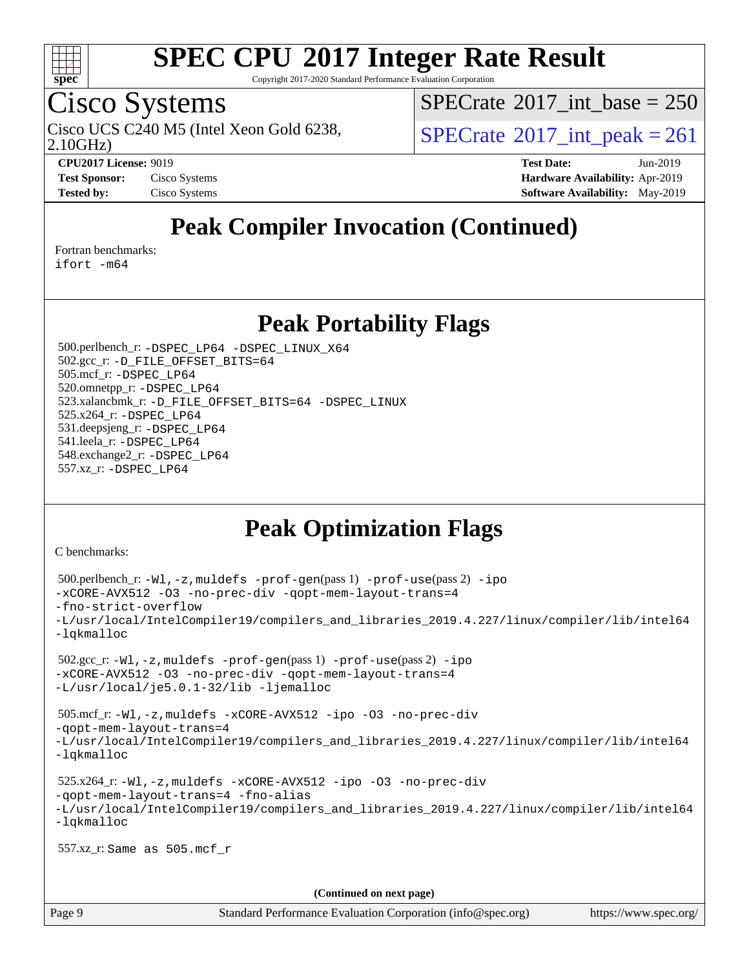

Copyright 2017-2020 Standard Performance Evaluation Corporation

## Cisco Systems

 $SPECTate@2017_int\_base = 250$ 

Cisco UCS C240 M5 (Intel Xeon Gold 6238,  $\vert$ [SPECrate](http://www.spec.org/auto/cpu2017/Docs/result-fields.html#SPECrate2017intpeak)®[2017\\_int\\_peak = 2](http://www.spec.org/auto/cpu2017/Docs/result-fields.html#SPECrate2017intpeak)61

2.10GHz)

**[CPU2017 License:](http://www.spec.org/auto/cpu2017/Docs/result-fields.html#CPU2017License)** 9019 **[Test Date:](http://www.spec.org/auto/cpu2017/Docs/result-fields.html#TestDate)** Jun-2019 **[Test Sponsor:](http://www.spec.org/auto/cpu2017/Docs/result-fields.html#TestSponsor)** Cisco Systems **[Hardware Availability:](http://www.spec.org/auto/cpu2017/Docs/result-fields.html#HardwareAvailability)** Apr-2019 **[Tested by:](http://www.spec.org/auto/cpu2017/Docs/result-fields.html#Testedby)** Cisco Systems **[Software Availability:](http://www.spec.org/auto/cpu2017/Docs/result-fields.html#SoftwareAvailability)** May-2019

## **[Peak Compiler Invocation \(Continued\)](http://www.spec.org/auto/cpu2017/Docs/result-fields.html#PeakCompilerInvocation)**

[Fortran benchmarks](http://www.spec.org/auto/cpu2017/Docs/result-fields.html#Fortranbenchmarks):

[ifort -m64](http://www.spec.org/cpu2017/results/res2019q3/cpu2017-20190625-15896.flags.html#user_FCpeak_intel_ifort_64bit_24f2bb282fbaeffd6157abe4f878425411749daecae9a33200eee2bee2fe76f3b89351d69a8130dd5949958ce389cf37ff59a95e7a40d588e8d3a57e0c3fd751)

### **[Peak Portability Flags](http://www.spec.org/auto/cpu2017/Docs/result-fields.html#PeakPortabilityFlags)**

 500.perlbench\_r: [-DSPEC\\_LP64](http://www.spec.org/cpu2017/results/res2019q3/cpu2017-20190625-15896.flags.html#b500.perlbench_r_peakPORTABILITY_DSPEC_LP64) [-DSPEC\\_LINUX\\_X64](http://www.spec.org/cpu2017/results/res2019q3/cpu2017-20190625-15896.flags.html#b500.perlbench_r_peakCPORTABILITY_DSPEC_LINUX_X64) 502.gcc\_r: [-D\\_FILE\\_OFFSET\\_BITS=64](http://www.spec.org/cpu2017/results/res2019q3/cpu2017-20190625-15896.flags.html#user_peakPORTABILITY502_gcc_r_file_offset_bits_64_5ae949a99b284ddf4e95728d47cb0843d81b2eb0e18bdfe74bbf0f61d0b064f4bda2f10ea5eb90e1dcab0e84dbc592acfc5018bc955c18609f94ddb8d550002c) 505.mcf\_r: [-DSPEC\\_LP64](http://www.spec.org/cpu2017/results/res2019q3/cpu2017-20190625-15896.flags.html#suite_peakPORTABILITY505_mcf_r_DSPEC_LP64) 520.omnetpp\_r: [-DSPEC\\_LP64](http://www.spec.org/cpu2017/results/res2019q3/cpu2017-20190625-15896.flags.html#suite_peakPORTABILITY520_omnetpp_r_DSPEC_LP64) 523.xalancbmk\_r: [-D\\_FILE\\_OFFSET\\_BITS=64](http://www.spec.org/cpu2017/results/res2019q3/cpu2017-20190625-15896.flags.html#user_peakPORTABILITY523_xalancbmk_r_file_offset_bits_64_5ae949a99b284ddf4e95728d47cb0843d81b2eb0e18bdfe74bbf0f61d0b064f4bda2f10ea5eb90e1dcab0e84dbc592acfc5018bc955c18609f94ddb8d550002c) [-DSPEC\\_LINUX](http://www.spec.org/cpu2017/results/res2019q3/cpu2017-20190625-15896.flags.html#b523.xalancbmk_r_peakCXXPORTABILITY_DSPEC_LINUX) 525.x264\_r: [-DSPEC\\_LP64](http://www.spec.org/cpu2017/results/res2019q3/cpu2017-20190625-15896.flags.html#suite_peakPORTABILITY525_x264_r_DSPEC_LP64) 531.deepsjeng\_r: [-DSPEC\\_LP64](http://www.spec.org/cpu2017/results/res2019q3/cpu2017-20190625-15896.flags.html#suite_peakPORTABILITY531_deepsjeng_r_DSPEC_LP64) 541.leela\_r: [-DSPEC\\_LP64](http://www.spec.org/cpu2017/results/res2019q3/cpu2017-20190625-15896.flags.html#suite_peakPORTABILITY541_leela_r_DSPEC_LP64) 548.exchange2\_r: [-DSPEC\\_LP64](http://www.spec.org/cpu2017/results/res2019q3/cpu2017-20190625-15896.flags.html#suite_peakPORTABILITY548_exchange2_r_DSPEC_LP64) 557.xz\_r: [-DSPEC\\_LP64](http://www.spec.org/cpu2017/results/res2019q3/cpu2017-20190625-15896.flags.html#suite_peakPORTABILITY557_xz_r_DSPEC_LP64)

## **[Peak Optimization Flags](http://www.spec.org/auto/cpu2017/Docs/result-fields.html#PeakOptimizationFlags)**

[C benchmarks](http://www.spec.org/auto/cpu2017/Docs/result-fields.html#Cbenchmarks):

```
 500.perlbench_r: -Wl,-z,muldefs -prof-gen(pass 1) -prof-use(pass 2) -ipo
-xCORE-AVX512 -O3 -no-prec-div -qopt-mem-layout-trans=4
-fno-strict-overflow
-L/usr/local/IntelCompiler19/compilers_and_libraries_2019.4.227/linux/compiler/lib/intel64
-lqkmalloc
 502.gcc_r: -Wl,-z,muldefs -prof-gen(pass 1) -prof-use(pass 2) -ipo
-xCORE-AVX512 -O3 -no-prec-div -qopt-mem-layout-trans=4
-L/usr/local/je5.0.1-32/lib -ljemalloc
 505.mcf_r: -Wl,-z,muldefs -xCORE-AVX512 -ipo -O3 -no-prec-div
-qopt-mem-layout-trans=4
-L/usr/local/IntelCompiler19/compilers_and_libraries_2019.4.227/linux/compiler/lib/intel64
-lqkmalloc
 525.x264_r: -Wl,-z,muldefs -xCORE-AVX512 -ipo -O3 -no-prec-div
-qopt-mem-layout-trans=4 -fno-alias
-L/usr/local/IntelCompiler19/compilers_and_libraries_2019.4.227/linux/compiler/lib/intel64
-lqkmalloc
 557.xz_r: Same as 505.mcf_r
                                      (Continued on next page)
```